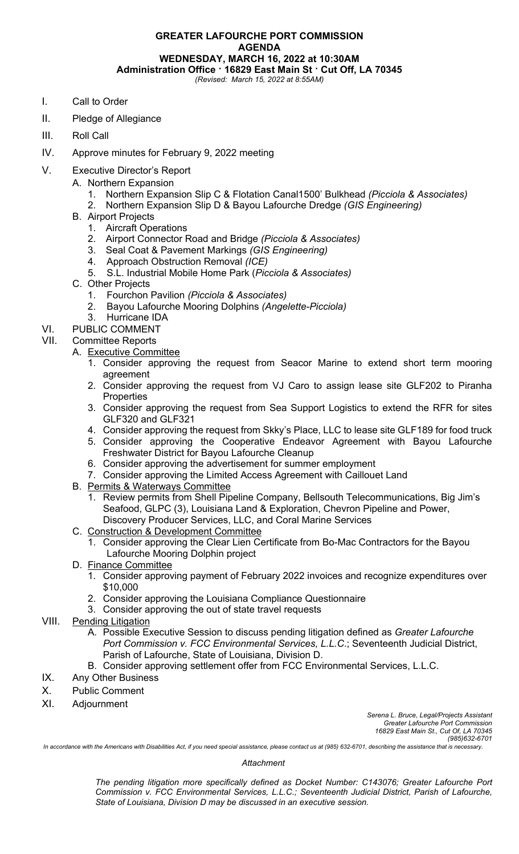## **GREATER LAFOURCHE PORT COMMISSION AGENDA WEDNESDAY, MARCH 16, 2022 at 10:30AM Administration Office · 16829 East Main St · Cut Off, LA 70345** *(Revised: March 15, 2022 at 8:55AM)*

- I. Call to Order
- II. Pledge of Allegiance
- III. Roll Call
- IV. Approve minutes for February 9, 2022 meeting
- V. Executive Director's Report
	- A. Northern Expansion
		- 1. Northern Expansion Slip C & Flotation Canal1500' Bulkhead *(Picciola & Associates)*
		- 2. Northern Expansion Slip D & Bayou Lafourche Dredge *(GIS Engineering)*
	- B. Airport Projects
		- 1. Aircraft Operations
		- 2. Airport Connector Road and Bridge *(Picciola & Associates)*
		- 3. Seal Coat & Pavement Markings *(GIS Engineering)*
		- 4. Approach Obstruction Removal *(ICE)*
		- 5. S.L. Industrial Mobile Home Park (*Picciola & Associates)*
	- C. Other Projects
		-
		- 1. Fourchon Pavilion *(Picciola & Associates)* 2. Bayou Lafourche Mooring Dolphins *(Angelette-Picciola)*
		- 3. Hurricane IDA
- VI. PUBLIC COMMENT

# VII. Committee Reports

- A. Executive Committee
	- 1. Consider approving the request from Seacor Marine to extend short term mooring agreement
	- 2. Consider approving the request from VJ Caro to assign lease site GLF202 to Piranha **Properties**
	- 3. Consider approving the request from Sea Support Logistics to extend the RFR for sites GLF320 and GLF321
	- 4. Consider approving the request from Skky's Place, LLC to lease site GLF189 for food truck
	- 5. Consider approving the Cooperative Endeavor Agreement with Bayou Lafourche Freshwater District for Bayou Lafourche Cleanup
	- 6. Consider approving the advertisement for summer employment
	- 7. Consider approving the Limited Access Agreement with Caillouet Land
- B. Permits & Waterways Committee
	- 1. Review permits from Shell Pipeline Company, Bellsouth Telecommunications, Big Jim's Seafood, GLPC (3), Louisiana Land & Exploration, Chevron Pipeline and Power, Discovery Producer Services, LLC, and Coral Marine Services
- C. Construction & Development Committee
	- 1. Consider approving the Clear Lien Certificate from Bo-Mac Contractors for the Bayou Lafourche Mooring Dolphin project
- D. Finance Committee
	- 1. Consider approving payment of February 2022 invoices and recognize expenditures over \$10,000
	- 2. Consider approving the Louisiana Compliance Questionnaire
	- 3. Consider approving the out of state travel requests

# VIII. Pending Litigation

- A. Possible Executive Session to discuss pending litigation defined as *Greater Lafourche Port Commission v. FCC Environmental Services, L.L.C*.; Seventeenth Judicial District, Parish of Lafourche, State of Louisiana, Division D.
- B. Consider approving settlement offer from FCC Environmental Services, L.L.C.
- IX. Any Other Business
- X. Public Comment
- XI. Adjournment

*Serena L. Bruce, Legal/Projects Assistant Greater Lafourche Port Commission 16829 East Main St., Cut Of, LA 70345 (985)632-6701*

*In accordance with the Americans with Disabilities Act, if you need special assistance, please contact us at (985) 632-6701, describing the assistance that is necessary.*

#### *Attachment*

*The pending litigation more specifically defined as Docket Number: C143076; Greater Lafourche Port Commission v. FCC Environmental Services, L.L.C.; Seventeenth Judicial District, Parish of Lafourche, State of Louisiana, Division D may be discussed in an executive session.*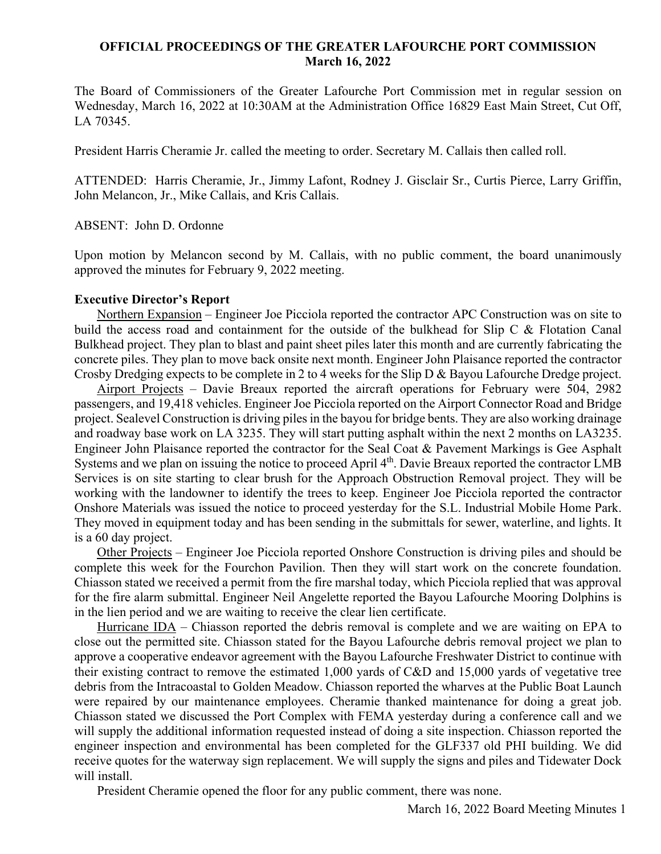## **OFFICIAL PROCEEDINGS OF THE GREATER LAFOURCHE PORT COMMISSION March 16, 2022**

The Board of Commissioners of the Greater Lafourche Port Commission met in regular session on Wednesday, March 16, 2022 at 10:30AM at the Administration Office 16829 East Main Street, Cut Off, LA 70345.

President Harris Cheramie Jr. called the meeting to order. Secretary M. Callais then called roll.

ATTENDED: Harris Cheramie, Jr., Jimmy Lafont, Rodney J. Gisclair Sr., Curtis Pierce, Larry Griffin, John Melancon, Jr., Mike Callais, and Kris Callais.

ABSENT: John D. Ordonne

Upon motion by Melancon second by M. Callais, with no public comment, the board unanimously approved the minutes for February 9, 2022 meeting.

### **Executive Director's Report**

 Northern Expansion – Engineer Joe Picciola reported the contractor APC Construction was on site to build the access road and containment for the outside of the bulkhead for Slip C & Flotation Canal Bulkhead project. They plan to blast and paint sheet piles later this month and are currently fabricating the concrete piles. They plan to move back onsite next month. Engineer John Plaisance reported the contractor Crosby Dredging expects to be complete in 2 to 4 weeks for the Slip D & Bayou Lafourche Dredge project.

 Airport Projects – Davie Breaux reported the aircraft operations for February were 504, 2982 passengers, and 19,418 vehicles. Engineer Joe Picciola reported on the Airport Connector Road and Bridge project. Sealevel Construction is driving piles in the bayou for bridge bents. They are also working drainage and roadway base work on LA 3235. They will start putting asphalt within the next 2 months on LA3235. Engineer John Plaisance reported the contractor for the Seal Coat & Pavement Markings is Gee Asphalt Systems and we plan on issuing the notice to proceed April 4<sup>th</sup>. Davie Breaux reported the contractor LMB Services is on site starting to clear brush for the Approach Obstruction Removal project. They will be working with the landowner to identify the trees to keep. Engineer Joe Picciola reported the contractor Onshore Materials was issued the notice to proceed yesterday for the S.L. Industrial Mobile Home Park. They moved in equipment today and has been sending in the submittals for sewer, waterline, and lights. It is a 60 day project.

 Other Projects – Engineer Joe Picciola reported Onshore Construction is driving piles and should be complete this week for the Fourchon Pavilion. Then they will start work on the concrete foundation. Chiasson stated we received a permit from the fire marshal today, which Picciola replied that was approval for the fire alarm submittal. Engineer Neil Angelette reported the Bayou Lafourche Mooring Dolphins is in the lien period and we are waiting to receive the clear lien certificate.

 Hurricane IDA – Chiasson reported the debris removal is complete and we are waiting on EPA to close out the permitted site. Chiasson stated for the Bayou Lafourche debris removal project we plan to approve a cooperative endeavor agreement with the Bayou Lafourche Freshwater District to continue with their existing contract to remove the estimated 1,000 yards of C&D and 15,000 yards of vegetative tree debris from the Intracoastal to Golden Meadow. Chiasson reported the wharves at the Public Boat Launch were repaired by our maintenance employees. Cheramie thanked maintenance for doing a great job. Chiasson stated we discussed the Port Complex with FEMA yesterday during a conference call and we will supply the additional information requested instead of doing a site inspection. Chiasson reported the engineer inspection and environmental has been completed for the GLF337 old PHI building. We did receive quotes for the waterway sign replacement. We will supply the signs and piles and Tidewater Dock will install.

President Cheramie opened the floor for any public comment, there was none.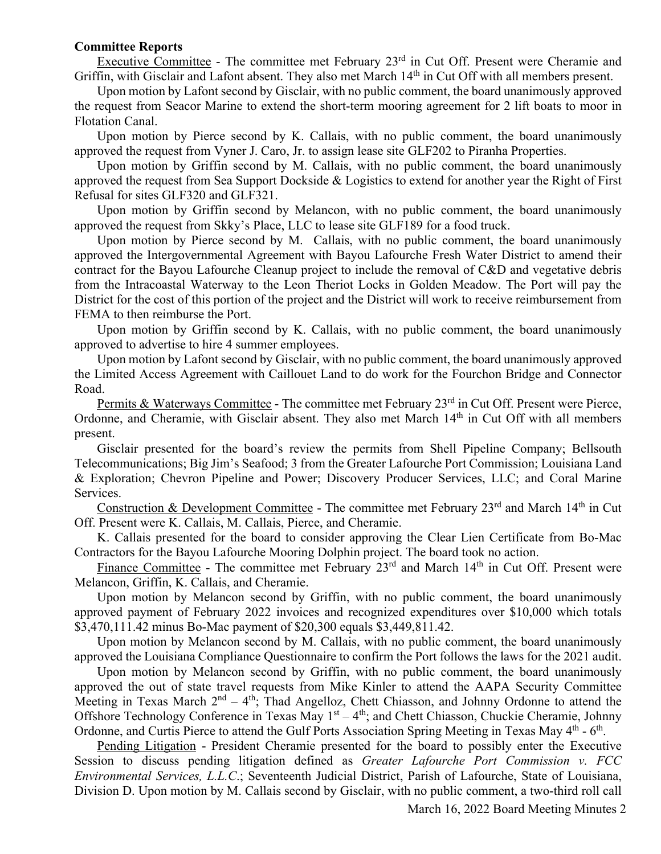### **Committee Reports**

Executive Committee - The committee met February 23<sup>rd</sup> in Cut Off. Present were Cheramie and Griffin, with Gisclair and Lafont absent. They also met March 14<sup>th</sup> in Cut Off with all members present.

 Upon motion by Lafont second by Gisclair, with no public comment, the board unanimously approved the request from Seacor Marine to extend the short-term mooring agreement for 2 lift boats to moor in Flotation Canal.

 Upon motion by Pierce second by K. Callais, with no public comment, the board unanimously approved the request from Vyner J. Caro, Jr. to assign lease site GLF202 to Piranha Properties.

 Upon motion by Griffin second by M. Callais, with no public comment, the board unanimously approved the request from Sea Support Dockside & Logistics to extend for another year the Right of First Refusal for sites GLF320 and GLF321.

 Upon motion by Griffin second by Melancon, with no public comment, the board unanimously approved the request from Skky's Place, LLC to lease site GLF189 for a food truck.

 Upon motion by Pierce second by M. Callais, with no public comment, the board unanimously approved the Intergovernmental Agreement with Bayou Lafourche Fresh Water District to amend their contract for the Bayou Lafourche Cleanup project to include the removal of C&D and vegetative debris from the Intracoastal Waterway to the Leon Theriot Locks in Golden Meadow. The Port will pay the District for the cost of this portion of the project and the District will work to receive reimbursement from FEMA to then reimburse the Port.

 Upon motion by Griffin second by K. Callais, with no public comment, the board unanimously approved to advertise to hire 4 summer employees.

 Upon motion by Lafont second by Gisclair, with no public comment, the board unanimously approved the Limited Access Agreement with Caillouet Land to do work for the Fourchon Bridge and Connector Road.

Permits & Waterways Committee - The committee met February 23<sup>rd</sup> in Cut Off. Present were Pierce, Ordonne, and Cheramie, with Gisclair absent. They also met March 14<sup>th</sup> in Cut Off with all members present.

 Gisclair presented for the board's review the permits from Shell Pipeline Company; Bellsouth Telecommunications; Big Jim's Seafood; 3 from the Greater Lafourche Port Commission; Louisiana Land & Exploration; Chevron Pipeline and Power; Discovery Producer Services, LLC; and Coral Marine Services.

Construction & Development Committee - The committee met February 23<sup>rd</sup> and March 14<sup>th</sup> in Cut Off. Present were K. Callais, M. Callais, Pierce, and Cheramie.

 K. Callais presented for the board to consider approving the Clear Lien Certificate from Bo-Mac Contractors for the Bayou Lafourche Mooring Dolphin project. The board took no action.

Finance Committee - The committee met February  $23<sup>rd</sup>$  and March  $14<sup>th</sup>$  in Cut Off. Present were Melancon, Griffin, K. Callais, and Cheramie.

 Upon motion by Melancon second by Griffin, with no public comment, the board unanimously approved payment of February 2022 invoices and recognized expenditures over \$10,000 which totals \$3,470,111.42 minus Bo-Mac payment of \$20,300 equals \$3,449,811.42.

 Upon motion by Melancon second by M. Callais, with no public comment, the board unanimously approved the Louisiana Compliance Questionnaire to confirm the Port follows the laws for the 2021 audit.

 Upon motion by Melancon second by Griffin, with no public comment, the board unanimously approved the out of state travel requests from Mike Kinler to attend the AAPA Security Committee Meeting in Texas March  $2^{nd} - 4^{th}$ ; Thad Angelloz, Chett Chiasson, and Johnny Ordonne to attend the Offshore Technology Conference in Texas May  $1<sup>st</sup> - 4<sup>th</sup>$ ; and Chett Chiasson, Chuckie Cheramie, Johnny Ordonne, and Curtis Pierce to attend the Gulf Ports Association Spring Meeting in Texas May  $4<sup>th</sup>$  - 6<sup>th</sup>.

 Pending Litigation - President Cheramie presented for the board to possibly enter the Executive Session to discuss pending litigation defined as *Greater Lafourche Port Commission v. FCC Environmental Services, L.L.C*.; Seventeenth Judicial District, Parish of Lafourche, State of Louisiana, Division D. Upon motion by M. Callais second by Gisclair, with no public comment, a two-third roll call